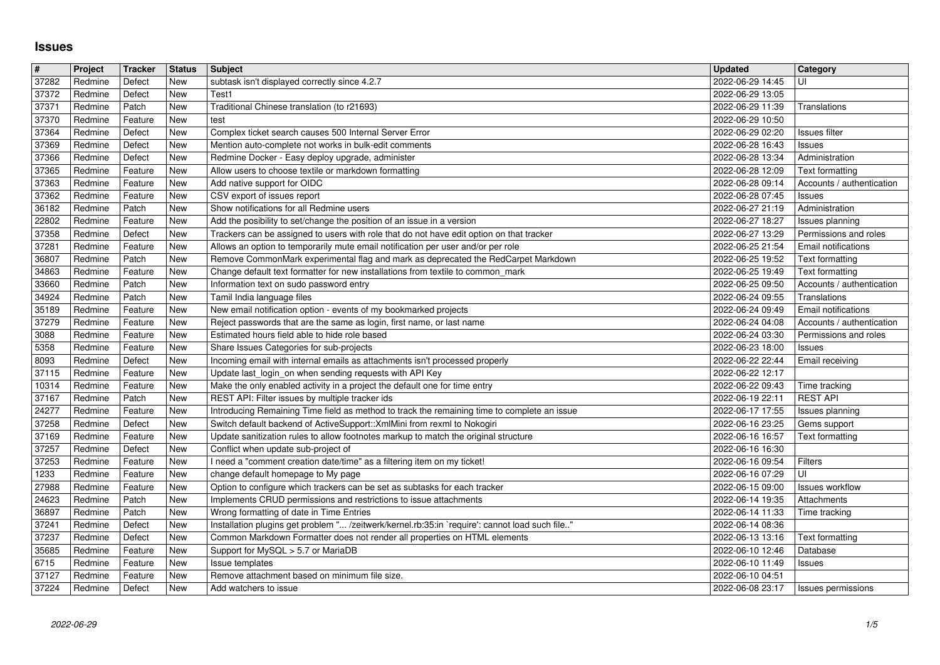## **Issues**

| #<br>37282     | Project<br>Redmine | Tracker<br>Defect  | <b>Status</b><br><b>New</b> | <b>Subject</b><br>subtask isn't displayed correctly since 4.2.7                                                                                                              | <b>Updated</b><br>2022-06-29 14:45   | Category<br>UI                                          |
|----------------|--------------------|--------------------|-----------------------------|------------------------------------------------------------------------------------------------------------------------------------------------------------------------------|--------------------------------------|---------------------------------------------------------|
| 37372          | Redmine            | Defect             | <b>New</b>                  | Test1                                                                                                                                                                        | 2022-06-29 13:05                     |                                                         |
| 37371<br>37370 | Redmine<br>Redmine | Patch<br>Feature   | <b>New</b><br><b>New</b>    | Traditional Chinese translation (to r21693)<br>test                                                                                                                          | 2022-06-29 11:39<br>2022-06-29 10:50 | Translations                                            |
| 37364          | Redmine            | Defect             | <b>New</b>                  | Complex ticket search causes 500 Internal Server Error                                                                                                                       | 2022-06-29 02:20                     | Issues filter                                           |
| 37369          | Redmine            | Defect             | <b>New</b>                  | Mention auto-complete not works in bulk-edit comments                                                                                                                        | 2022-06-28 16:43                     | Issues                                                  |
| 37366<br>37365 | Redmine<br>Redmine | Defect<br>Feature  | <b>New</b><br><b>New</b>    | Redmine Docker - Easy deploy upgrade, administer<br>Allow users to choose textile or markdown formatting                                                                     | 2022-06-28 13:34<br>2022-06-28 12:09 | Administration<br>Text formatting                       |
| 37363          | Redmine            | Feature            | <b>New</b>                  | Add native support for OIDC                                                                                                                                                  | 2022-06-28 09:14                     | Accounts / authentication                               |
| 37362<br>36182 | Redmine<br>Redmine | Feature<br>Patch   | <b>New</b><br><b>New</b>    | CSV export of issues report<br>Show notifications for all Redmine users                                                                                                      | 2022-06-28 07:45<br>2022-06-27 21:19 | Issues<br>Administration                                |
| 22802          | Redmine            | Feature            | <b>New</b>                  | Add the posibility to set/change the position of an issue in a version                                                                                                       | 2022-06-27 18:27                     | Issues planning                                         |
| 37358<br>37281 | Redmine<br>Redmine | Defect<br>Feature  | <b>New</b><br><b>New</b>    | Trackers can be assigned to users with role that do not have edit option on that tracker<br>Allows an option to temporarily mute email notification per user and/or per role | 2022-06-27 13:29<br>2022-06-25 21:54 | Permissions and roles<br>Email notifications            |
| 36807          | Redmine            | Patch              | <b>New</b>                  | Remove CommonMark experimental flag and mark as deprecated the RedCarpet Markdown                                                                                            | 2022-06-25 19:52                     | Text formatting                                         |
| 34863<br>33660 | Redmine<br>Redmine | Feature<br>Patch   | <b>New</b><br>New           | Change default text formatter for new installations from textile to common_mark<br>Information text on sudo password entry                                                   | 2022-06-25 19:49<br>2022-06-25 09:50 | Text formatting<br>Accounts / authentication            |
| 34924          | Redmine            | Patch              | <b>New</b>                  | Tamil India language files                                                                                                                                                   | 2022-06-24 09:55                     | Translations                                            |
| 35189<br>37279 | Redmine<br>Redmine | Feature<br>Feature | <b>New</b><br><b>New</b>    | New email notification option - events of my bookmarked projects                                                                                                             | 2022-06-24 09:49<br>2022-06-24 04:08 | <b>Email notifications</b><br>Accounts / authentication |
| 3088           | Redmine            | Feature            | <b>New</b>                  | Reject passwords that are the same as login, first name, or last name<br>Estimated hours field able to hide role based                                                       | 2022-06-24 03:30                     | Permissions and roles                                   |
| 5358           | Redmine            | Feature            | <b>New</b><br><b>New</b>    | Share Issues Categories for sub-projects                                                                                                                                     | 2022-06-23 18:00                     | Issues                                                  |
| 8093<br>37115  | Redmine<br>Redmine | Defect<br>Feature  | <b>New</b>                  | Incoming email with internal emails as attachments isn't processed properly<br>Update last_login_on when sending requests with API Key                                       | 2022-06-22 22:44<br>2022-06-22 12:17 | <b>Email receiving</b>                                  |
| 10314          | Redmine            | Feature            | <b>New</b>                  | Make the only enabled activity in a project the default one for time entry                                                                                                   | 2022-06-22 09:43                     | Time tracking                                           |
| 37167<br>24277 | Redmine<br>Redmine | Patch<br>Feature   | <b>New</b><br><b>New</b>    | REST API: Filter issues by multiple tracker ids<br>Introducing Remaining Time field as method to track the remaining time to complete an issue                               | 2022-06-19 22:11<br>2022-06-17 17:55 | <b>REST API</b><br>Issues planning                      |
| 37258          | Redmine            | Defect             | <b>New</b>                  | Switch default backend of ActiveSupport:: XmlMini from rexml to Nokogiri                                                                                                     | 2022-06-16 23:25                     | Gems support                                            |
| 37169<br>37257 | Redmine<br>Redmine | Feature<br>Defect  | <b>New</b><br><b>New</b>    | Update sanitization rules to allow footnotes markup to match the original structure<br>Conflict when update sub-project of                                                   | 2022-06-16 16:57<br>2022-06-16 16:30 | Text formatting                                         |
| 37253          | Redmine            | Feature            | <b>New</b>                  | I need a "comment creation date/time" as a filtering item on my ticket!                                                                                                      | 2022-06-16 09:54                     | Filters                                                 |
| 1233<br>27988  | Redmine<br>Redmine | Feature<br>Feature | <b>New</b><br><b>New</b>    | change default homepage to My page<br>Option to configure which trackers can be set as subtasks for each tracker                                                             | 2022-06-16 07:29<br>2022-06-15 09:00 | UI<br><b>Issues workflow</b>                            |
| 24623          | Redmine            | Patch              | <b>New</b>                  | Implements CRUD permissions and restrictions to issue attachments                                                                                                            | 2022-06-14 19:35                     | Attachments                                             |
| 36897          | Redmine            | Patch              | <b>New</b>                  | Wrong formatting of date in Time Entries                                                                                                                                     | 2022-06-14 11:33                     | Time tracking                                           |
| 37241<br>37237 | Redmine<br>Redmine | Defect<br>Defect   | <b>New</b><br><b>New</b>    | Installation plugins get problem " /zeitwerk/kernel.rb:35:in `require': cannot load such file"<br>Common Markdown Formatter does not render all properties on HTML elements  | 2022-06-14 08:36<br>2022-06-13 13:16 | Text formatting                                         |
| 35685          | Redmine            | Feature            | New                         | Support for MySQL > 5.7 or MariaDB                                                                                                                                           | 2022-06-10 12:46                     | Database                                                |
| 6715<br>37127  | Redmine<br>Redmine | Feature<br>Feature | New<br><b>New</b>           | Issue templates<br>Remove attachment based on minimum file size.                                                                                                             | 2022-06-10 11:49<br>2022-06-10 04:51 | <b>Issues</b>                                           |
|                |                    |                    |                             |                                                                                                                                                                              |                                      |                                                         |
|                |                    |                    |                             |                                                                                                                                                                              |                                      |                                                         |
|                |                    |                    |                             |                                                                                                                                                                              |                                      |                                                         |
|                |                    |                    |                             |                                                                                                                                                                              |                                      |                                                         |
|                |                    |                    |                             |                                                                                                                                                                              |                                      |                                                         |
|                |                    |                    |                             |                                                                                                                                                                              |                                      |                                                         |
|                |                    |                    |                             |                                                                                                                                                                              |                                      |                                                         |
|                |                    |                    |                             |                                                                                                                                                                              |                                      |                                                         |
|                |                    |                    |                             |                                                                                                                                                                              |                                      |                                                         |
|                |                    |                    |                             |                                                                                                                                                                              |                                      |                                                         |
|                |                    |                    |                             |                                                                                                                                                                              |                                      |                                                         |
|                |                    |                    |                             |                                                                                                                                                                              |                                      |                                                         |
|                |                    |                    |                             |                                                                                                                                                                              |                                      |                                                         |
|                |                    |                    |                             |                                                                                                                                                                              |                                      |                                                         |
|                |                    |                    |                             |                                                                                                                                                                              |                                      |                                                         |
|                |                    |                    |                             |                                                                                                                                                                              |                                      |                                                         |
|                |                    |                    |                             |                                                                                                                                                                              |                                      |                                                         |
|                |                    |                    |                             |                                                                                                                                                                              |                                      |                                                         |
|                |                    |                    |                             |                                                                                                                                                                              |                                      |                                                         |
|                |                    |                    |                             |                                                                                                                                                                              |                                      |                                                         |
|                |                    |                    |                             |                                                                                                                                                                              |                                      |                                                         |
|                |                    |                    |                             |                                                                                                                                                                              |                                      |                                                         |
|                |                    |                    |                             |                                                                                                                                                                              |                                      |                                                         |
|                |                    |                    |                             |                                                                                                                                                                              |                                      |                                                         |
|                |                    |                    |                             |                                                                                                                                                                              |                                      |                                                         |
|                |                    |                    |                             |                                                                                                                                                                              |                                      |                                                         |
|                |                    |                    |                             |                                                                                                                                                                              |                                      |                                                         |
|                |                    |                    |                             |                                                                                                                                                                              |                                      |                                                         |
|                |                    |                    |                             |                                                                                                                                                                              |                                      |                                                         |
|                |                    |                    |                             |                                                                                                                                                                              |                                      |                                                         |
|                |                    |                    |                             |                                                                                                                                                                              |                                      |                                                         |
|                |                    |                    |                             |                                                                                                                                                                              |                                      |                                                         |
|                |                    |                    |                             |                                                                                                                                                                              |                                      |                                                         |
|                |                    |                    |                             |                                                                                                                                                                              |                                      |                                                         |
|                |                    |                    |                             |                                                                                                                                                                              |                                      |                                                         |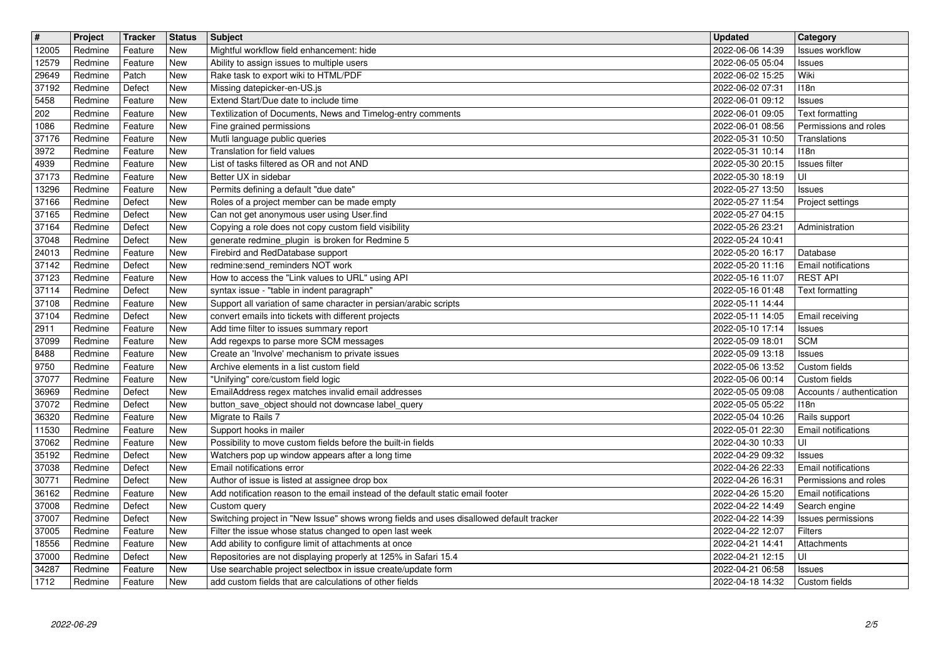| $\overline{\mathbf{H}}$ | Project            | Tracker            | <b>Status</b>     | <b>Subject</b>                                                                                                           | <b>Updated</b>                       | Category                              |
|-------------------------|--------------------|--------------------|-------------------|--------------------------------------------------------------------------------------------------------------------------|--------------------------------------|---------------------------------------|
| 12005                   | Redmine            | Feature            | New<br>New        | Mightful workflow field enhancement: hide                                                                                | 2022-06-06 14:39                     | <b>Issues workflow</b>                |
| 12579<br>29649          | Redmine<br>Redmine | Feature<br>Patch   | New               | Ability to assign issues to multiple users<br>Rake task to export wiki to HTML/PDF                                       | 2022-06-05 05:04<br>2022-06-02 15:25 | Issues<br>Wiki                        |
| 37192                   | Redmine            | Defect             | New               | Missing datepicker-en-US.js                                                                                              | 2022-06-02 07:31                     | 118n                                  |
| 5458                    | Redmine            | Feature            | New               | Extend Start/Due date to include time                                                                                    | 2022-06-01 09:12                     | Issues                                |
| 202                     | Redmine            | Feature            | New               | Textilization of Documents, News and Timelog-entry comments                                                              | 2022-06-01 09:05                     | Text formatting                       |
| 1086<br>37176           | Redmine<br>Redmine | Feature<br>Feature | <b>New</b><br>New | Fine grained permissions<br>Mutli language public queries                                                                | 2022-06-01 08:56<br>2022-05-31 10:50 | Permissions and roles<br>Translations |
| 3972                    | Redmine            | Feature            | New               | Translation for field values                                                                                             | 2022-05-31 10:14                     | 118n                                  |
| 4939                    | Redmine            | Feature            | New               | List of tasks filtered as OR and not AND                                                                                 | 2022-05-30 20:15                     | <b>Issues</b> filter                  |
| 37173                   | Redmine            | Feature            | New               | Better UX in sidebar                                                                                                     | 2022-05-30 18:19                     | UI                                    |
| 13296<br>37166          | Redmine<br>Redmine | Feature<br>Defect  | New<br>New        | Permits defining a default "due date"<br>Roles of a project member can be made empty                                     | 2022-05-27 13:50<br>2022-05-27 11:54 | Issues<br>Project settings            |
| 37165                   | Redmine            | Defect             | New               | Can not get anonymous user using User.find                                                                               | 2022-05-27 04:15                     |                                       |
| 37164                   | Redmine            | Defect             | New               | Copying a role does not copy custom field visibility                                                                     | 2022-05-26 23:21                     | Administration                        |
| 37048                   | Redmine            | Defect             | New               | generate redmine_plugin is broken for Redmine 5<br>Firebird and RedDatabase support                                      | 2022-05-24 10:41<br>2022-05-20 16:17 | Database                              |
| 24013<br>37142          | Redmine<br>Redmine | Feature<br>Defect  | New<br>New        | redmine:send_reminders NOT work                                                                                          | 2022-05-20 11:16                     | Email notifications                   |
| 37123                   | Redmine            | Feature            | New               | How to access the "Link values to URL" using API                                                                         | 2022-05-16 11:07                     | <b>REST API</b>                       |
| 37114                   | Redmine            | Defect             | New               | syntax issue - "table in indent paragraph"                                                                               | 2022-05-16 01:48                     | Text formatting                       |
| 37108                   | Redmine            | Feature<br>Defect  | New<br>New        | Support all variation of same character in persian/arabic scripts<br>convert emails into tickets with different projects | 2022-05-11 14:44                     |                                       |
| 37104<br>2911           | Redmine<br>Redmine | Feature            | New               | Add time filter to issues summary report                                                                                 | 2022-05-11 14:05<br>2022-05-10 17:14 | Email receiving<br>Issues             |
| 37099                   | Redmine            | Feature            | New               | Add regexps to parse more SCM messages                                                                                   | 2022-05-09 18:01                     | <b>SCM</b>                            |
| 8488                    | Redmine            | Feature            | New               | Create an 'Involve' mechanism to private issues                                                                          | 2022-05-09 13:18                     | Issues                                |
| 9750<br>37077           | Redmine<br>Redmine | Feature<br>Feature | <b>New</b><br>New | Archive elements in a list custom field<br>"Unifying" core/custom field logic                                            | 2022-05-06 13:52<br>2022-05-06 00:14 | Custom fields<br>Custom fields        |
| 36969                   | Redmine            | Defect             | New               | EmailAddress regex matches invalid email addresses                                                                       | 2022-05-05 09:08                     | Accounts / authentication             |
| 37072                   | Redmine            | Defect             | New               | button_save_object should not downcase label_query                                                                       | 2022-05-05 05:22                     | 118n                                  |
| 36320                   | Redmine            | Feature            | New               | Migrate to Rails 7                                                                                                       | 2022-05-04 10:26                     | Rails support                         |
| 11530<br>37062          | Redmine<br>Redmine | Feature<br>Feature | New<br><b>New</b> | Support hooks in mailer<br>Possibility to move custom fields before the built-in fields                                  | 2022-05-01 22:30<br>2022-04-30 10:33 | Email notifications<br>UI             |
| 35192                   | Redmine            | Defect             | New               | Watchers pop up window appears after a long time                                                                         | 2022-04-29 09:32                     | <b>Issues</b>                         |
| 37038                   | Redmine            | Defect             | New               | Email notifications error                                                                                                | 2022-04-26 22:33                     | Email notifications                   |
| 30771                   | Redmine            | Defect             | New               | Author of issue is listed at assignee drop box                                                                           | 2022-04-26 16:31                     | Permissions and roles                 |
| 36162                   | Redmine            | Feature            | New               | Add notification reason to the email instead of the default static email footer                                          | 2022-04-26 15:20                     | <b>Email notifications</b>            |
| 37008<br>37007          | Redmine<br>Redmine | Defect<br>Defect   | New<br>New        | Custom query<br>Switching project in "New Issue" shows wrong fields and uses disallowed default tracker                  | 2022-04-22 14:49<br>2022-04-22 14:39 | Search engine<br>Issues permissions   |
| 37005                   | Redmine            | Feature            | New               | Filter the issue whose status changed to open last week                                                                  | 2022-04-22 12:07   Filters           |                                       |
| 18556                   | Redmine            | Feature            | New               | Add ability to configure limit of attachments at once                                                                    | 2022-04-21 14:41                     | Attachments                           |
| 37000<br>34287          | Redmine            | Defect             | New               | Repositories are not displaying properly at 125% in Safari 15.4                                                          | 2022-04-21 12:15                     | UI                                    |
| 1712                    | Redmine<br>Redmine | Feature<br>Feature | New<br>New        | Use searchable project selectbox in issue create/update form<br>add custom fields that are calculations of other fields  | 2022-04-21 06:58<br>2022-04-18 14:32 | Issues<br>Custom fields               |
|                         |                    |                    |                   |                                                                                                                          |                                      |                                       |
|                         |                    |                    |                   |                                                                                                                          |                                      |                                       |
|                         |                    |                    |                   |                                                                                                                          |                                      |                                       |
|                         |                    |                    |                   |                                                                                                                          |                                      |                                       |
|                         |                    |                    |                   |                                                                                                                          |                                      |                                       |
|                         |                    |                    |                   |                                                                                                                          |                                      |                                       |
|                         |                    |                    |                   |                                                                                                                          |                                      |                                       |
|                         |                    |                    |                   |                                                                                                                          |                                      |                                       |
|                         |                    |                    |                   |                                                                                                                          |                                      |                                       |
|                         |                    |                    |                   |                                                                                                                          |                                      |                                       |
|                         |                    |                    |                   |                                                                                                                          |                                      |                                       |
|                         |                    |                    |                   |                                                                                                                          |                                      |                                       |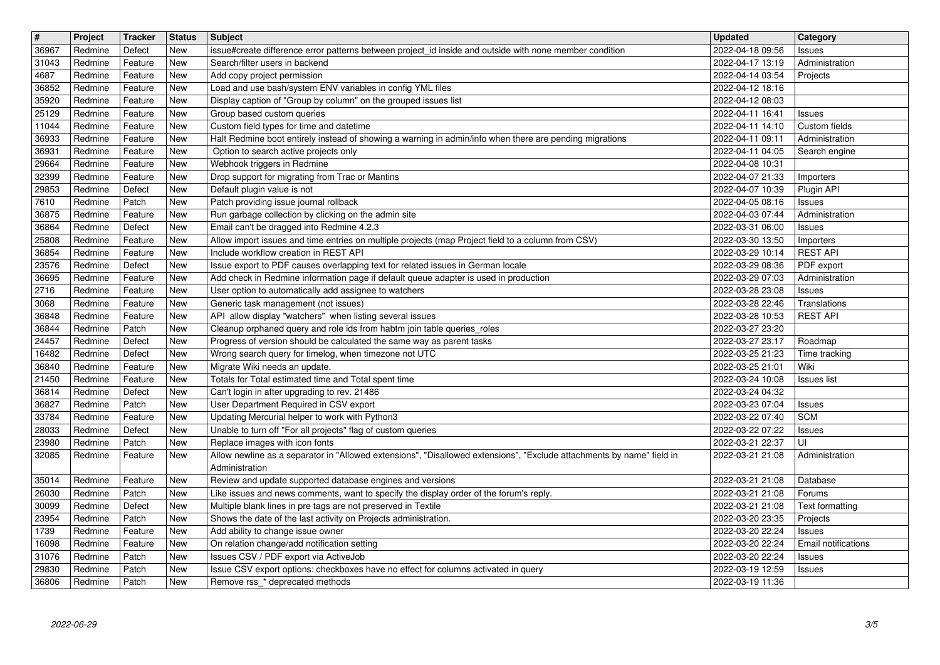| $\overline{\mathbf{H}}$ | Project            | Tracker            | <b>Status</b> | Subject                                                                                                                                                 | <b>Updated</b>                       | Category                           |
|-------------------------|--------------------|--------------------|---------------|---------------------------------------------------------------------------------------------------------------------------------------------------------|--------------------------------------|------------------------------------|
| 36967                   | Redmine            | Defect             | New<br>New    | issue#create difference error patterns between project_id inside and outside with none member condition<br>Search/filter users in backend               | 2022-04-18 09:56                     | Issues                             |
| 31043<br>4687           | Redmine<br>Redmine | Feature<br>Feature | New           | Add copy project permission                                                                                                                             | 2022-04-17 13:19<br>2022-04-14 03:54 | Administration<br>Projects         |
| 36852                   | Redmine            | Feature            | <b>New</b>    | Load and use bash/system ENV variables in config YML files                                                                                              | 2022-04-12 18:16                     |                                    |
| 35920                   | Redmine            | Feature            | New           | Display caption of "Group by column" on the grouped issues list                                                                                         | 2022-04-12 08:03                     |                                    |
| 25129                   | Redmine            | Feature            | New           | Group based custom queries                                                                                                                              | 2022-04-11 16:41                     | <b>Issues</b>                      |
| 11044<br>36933          | Redmine<br>Redmine | Feature<br>Feature | New<br>New    | Custom field types for time and datetime<br>Halt Redmine boot entirely instead of showing a warning in admin/info when there are pending migrations     | 2022-04-11 14:10<br>2022-04-11 09:11 | Custom fields<br>Administration    |
| 36931                   | Redmine            | Feature            | New           | Option to search active projects only                                                                                                                   | 2022-04-11 04:05                     | Search engine                      |
| 29664                   | Redmine            | Feature            | New           | Webhook triggers in Redmine                                                                                                                             | 2022-04-08 10:31                     |                                    |
| 32399                   | Redmine            | Feature            | New           | Drop support for migrating from Trac or Mantins                                                                                                         | 2022-04-07 21:33                     | Importers                          |
| 29853<br>7610           | Redmine<br>Redmine | Defect<br>Patch    | New<br>New    | Default plugin value is not<br>Patch providing issue journal rollback                                                                                   | 2022-04-07 10:39<br>2022-04-05 08:16 | Plugin API<br><b>Issues</b>        |
| 36875                   | Redmine            | Feature            | New           | Run garbage collection by clicking on the admin site                                                                                                    | 2022-04-03 07:44                     | Administration                     |
| 36864                   | Redmine            | Defect             | New           | Email can't be dragged into Redmine 4.2.3                                                                                                               | 2022-03-31 06:00                     | <b>Issues</b>                      |
| 25808<br>36854          | Redmine<br>Redmine | Feature<br>Feature | New<br>New    | Allow import issues and time entries on multiple projects (map Project field to a column from CSV)<br>Include workflow creation in REST API             | 2022-03-30 13:50<br>2022-03-29 10:14 | Importers<br><b>REST API</b>       |
| 23576                   | Redmine            | Defect             | New           | Issue export to PDF causes overlapping text for related issues in German locale                                                                         | 2022-03-29 08:36                     | PDF export                         |
| 36695                   | Redmine            | Feature            | New           | Add check in Redmine information page if default queue adapter is used in production                                                                    | 2022-03-29 07:03                     | Administration                     |
| 2716                    | Redmine            | Feature            | New           | User option to automatically add assignee to watchers                                                                                                   | 2022-03-28 23:08                     | Issues                             |
| 3068<br>36848           | Redmine<br>Redmine | Feature<br>Feature | New<br>New    | Generic task management (not issues)<br>API allow display "watchers" when listing several issues                                                        | 2022-03-28 22:46<br>2022-03-28 10:53 | Translations<br><b>REST API</b>    |
| 36844                   | Redmine            | Patch              | New           | Cleanup orphaned query and role ids from habtm join table queries_roles                                                                                 | 2022-03-27 23:20                     |                                    |
| 24457                   | Redmine            | Defect             | New           | Progress of version should be calculated the same way as parent tasks                                                                                   | 2022-03-27 23:17                     | Roadmap                            |
| 16482                   | Redmine            | Defect             | New           | Wrong search query for timelog, when timezone not UTC                                                                                                   | 2022-03-25 21:23                     | Time tracking                      |
| 36840<br>21450          | Redmine<br>Redmine | Feature<br>Feature | New<br>New    | Migrate Wiki needs an update.<br>Totals for Total estimated time and Total spent time                                                                   | 2022-03-25 21:01<br>2022-03-24 10:08 | Wiki<br><b>Issues</b> list         |
| 36814                   | Redmine            | Defect             | New           | Can't login in after upgrading to rev. 21486                                                                                                            | 2022-03-24 04:32                     |                                    |
| 36827                   | Redmine            | Patch              | New           | User Department Required in CSV export                                                                                                                  | 2022-03-23 07:04                     | Issues                             |
| 33784                   | Redmine            | Feature            | New           | Updating Mercurial helper to work with Python3                                                                                                          | 2022-03-22 07:40                     | <b>SCM</b>                         |
| 28033                   | Redmine<br>Redmine | Defect<br>Patch    | New<br>New    | Unable to turn off "For all projects" flag of custom queries                                                                                            | 2022-03-22 07:22<br>2022-03-21 22:37 | <b>Issues</b><br>UI                |
| 23980<br>32085          | Redmine            | Feature            | New           | Replace images with icon fonts<br>Allow newline as a separator in "Allowed extensions", "Disallowed extensions", "Exclude attachments by name" field in | 2022-03-21 21:08                     | Administration                     |
|                         |                    |                    |               | Administration                                                                                                                                          |                                      |                                    |
| 35014                   | Redmine            | Feature            | New           | Review and update supported database engines and versions                                                                                               | 2022-03-21 21:08                     | Database                           |
| 26030                   | Redmine            | Patch              | New           | Like issues and news comments, want to specify the display order of the forum's reply.                                                                  | 2022-03-21 21:08                     | Forums                             |
| 30099<br>23954          | Redmine<br>Redmine | Defect<br>Patch    | New<br>New    | Multiple blank lines in pre tags are not preserved in Textile<br>Shows the date of the last activity on Projects administration.                        | 2022-03-21 21:08<br>2022-03-20 23:35 | Text formatting<br><b>Projects</b> |
| 1739                    | Redmine            | Feature            | New           | Add ability to change issue owner                                                                                                                       | 2022-03-20 22:24                     | <b>Issues</b>                      |
| 16098                   | Redmine            | Feature            | New           | On relation change/add notification setting                                                                                                             | 2022-03-20 22:24                     | <b>Email notifications</b>         |
| 31076                   | Redmine            | Patch              | New           | Issues CSV / PDF export via ActiveJob                                                                                                                   | 2022-03-20 22:24                     | Issues                             |
| 29830<br>36806          | Redmine<br>Redmine | Patch<br>Patch     | New<br>New    | Issue CSV export options: checkboxes have no effect for columns activated in query<br>Remove rss_* deprecated methods                                   | 2022-03-19 12:59<br>2022-03-19 11:36 | <b>Issues</b>                      |
|                         |                    |                    |               |                                                                                                                                                         |                                      |                                    |
|                         |                    |                    |               |                                                                                                                                                         |                                      |                                    |
|                         |                    |                    |               |                                                                                                                                                         |                                      |                                    |
|                         |                    |                    |               |                                                                                                                                                         |                                      |                                    |
|                         |                    |                    |               |                                                                                                                                                         |                                      |                                    |
|                         |                    |                    |               |                                                                                                                                                         |                                      |                                    |
|                         |                    |                    |               |                                                                                                                                                         |                                      |                                    |
|                         |                    |                    |               |                                                                                                                                                         |                                      |                                    |
|                         |                    |                    |               |                                                                                                                                                         |                                      |                                    |
|                         |                    |                    |               |                                                                                                                                                         |                                      |                                    |
|                         |                    |                    |               |                                                                                                                                                         |                                      |                                    |
|                         |                    |                    |               |                                                                                                                                                         |                                      |                                    |
|                         |                    |                    |               |                                                                                                                                                         |                                      |                                    |
|                         |                    |                    |               |                                                                                                                                                         |                                      |                                    |
|                         |                    |                    |               |                                                                                                                                                         |                                      |                                    |
|                         |                    |                    |               |                                                                                                                                                         |                                      |                                    |
|                         |                    |                    |               |                                                                                                                                                         |                                      |                                    |
|                         |                    |                    |               |                                                                                                                                                         |                                      |                                    |
|                         |                    |                    |               |                                                                                                                                                         |                                      |                                    |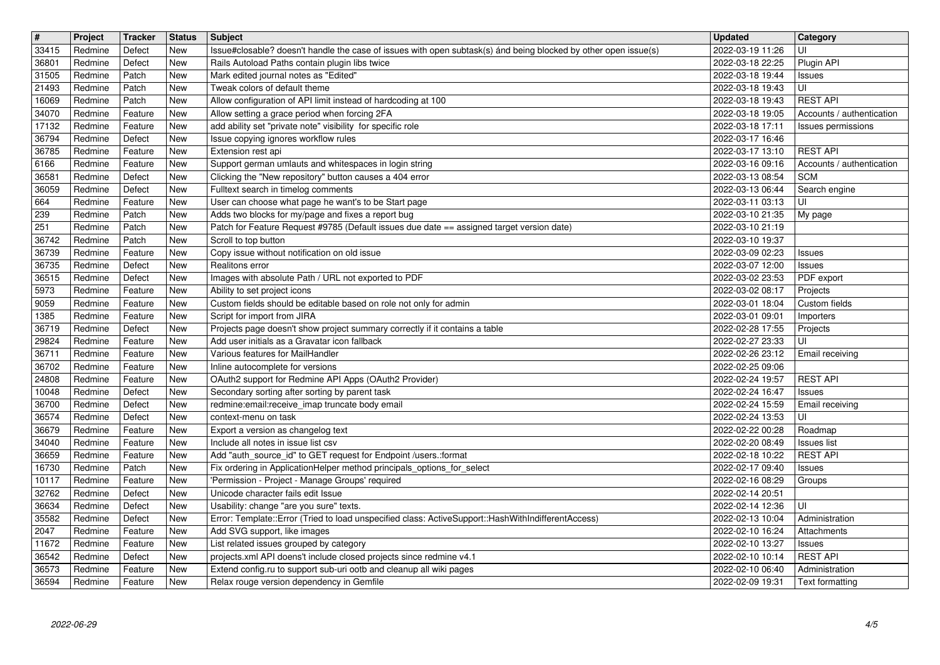| 33415          | Project            | <b>Tracker</b>     | <b>Status</b>            | <b>Subject</b>                                                                                                                                                    | <b>Updated</b>                                     | <b>Category</b>                   |
|----------------|--------------------|--------------------|--------------------------|-------------------------------------------------------------------------------------------------------------------------------------------------------------------|----------------------------------------------------|-----------------------------------|
| 36801          | Redmine<br>Redmine | Defect<br>Defect   | <b>New</b><br>New        | Issue#closable? doesn't handle the case of issues with open subtask(s) ánd being blocked by other open issue(s)<br>Rails Autoload Paths contain plugin libs twice | 2022-03-19 11:26<br>2022-03-18 22:25               | UI<br>Plugin API                  |
| 31505          | Redmine            | Patch              | <b>New</b>               | Mark edited journal notes as "Edited"                                                                                                                             | 2022-03-18 19:44                                   | Issues                            |
| 21493          | Redmine            | Patch              | New                      | Tweak colors of default theme                                                                                                                                     | 2022-03-18 19:43                                   | UI                                |
| 16069          | Redmine            | Patch              | <b>New</b>               | Allow configuration of API limit instead of hardcoding at 100                                                                                                     | 2022-03-18 19:43                                   | <b>REST API</b>                   |
| 34070          | Redmine            | Feature            | New                      | Allow setting a grace period when forcing 2FA                                                                                                                     | 2022-03-18 19:05                                   | Accounts / authentication         |
| 17132<br>36794 | Redmine<br>Redmine | Feature<br>Defect  | <b>New</b><br>New        | add ability set "private note" visibility for specific role<br>Issue copying ignores workflow rules                                                               | 2022-03-18 17:11<br>2022-03-17 16:46               | Issues permissions                |
| 36785          | Redmine            | Feature            | New                      | Extension rest api                                                                                                                                                | 2022-03-17 13:10                                   | <b>REST API</b>                   |
| 6166           | Redmine            | Feature            | New                      | Support german umlauts and whitespaces in login string                                                                                                            | 2022-03-16 09:16                                   | Accounts / authentication         |
| 36581<br>36059 | Redmine<br>Redmine | Defect<br>Defect   | <b>New</b><br><b>New</b> | Clicking the "New repository" button causes a 404 error<br>Fulltext search in timelog comments                                                                    | 2022-03-13 08:54<br>2022-03-13 06:44               | <b>SCM</b><br>Search engine       |
| 664            | Redmine            | Feature            | New                      | User can choose what page he want's to be Start page                                                                                                              | 2022-03-11 03:13                                   | UI                                |
| 239            | Redmine            | Patch              | New                      | Adds two blocks for my/page and fixes a report bug                                                                                                                | 2022-03-10 21:35                                   | My page                           |
| 251            | Redmine            | Patch              | <b>New</b>               | Patch for Feature Request #9785 (Default issues due date == assigned target version date)                                                                         | 2022-03-10 21:19                                   |                                   |
| 36742<br>36739 | Redmine<br>Redmine | Patch<br>Feature   | <b>New</b><br>New        | Scroll to top button<br>Copy issue without notification on old issue                                                                                              | 2022-03-10 19:37<br>2022-03-09 02:23               | Issues                            |
| 36735          | Redmine            | Defect             | New                      | Realitons error                                                                                                                                                   | 2022-03-07 12:00                                   | Issues                            |
| 36515          | Redmine            | Defect             | New                      | Images with absolute Path / URL not exported to PDF                                                                                                               | 2022-03-02 23:53                                   | PDF export                        |
| 5973<br>9059   | Redmine<br>Redmine | Feature<br>Feature | <b>New</b><br><b>New</b> | Ability to set project icons<br>Custom fields should be editable based on role not only for admin                                                                 | 2022-03-02 08:17<br>2022-03-01 18:04               | Projects<br>Custom fields         |
| 1385           | Redmine            | Feature            | New                      | Script for import from JIRA                                                                                                                                       | 2022-03-01 09:01                                   | Importers                         |
| 36719          | Redmine            | Defect             | New                      | Projects page doesn't show project summary correctly if it contains a table                                                                                       | 2022-02-28 17:55                                   | Projects                          |
| 29824<br>36711 | Redmine<br>Redmine | Feature<br>Feature | <b>New</b><br>New        | Add user initials as a Gravatar icon fallback<br>Various features for MailHandler                                                                                 | 2022-02-27 23:33<br>2022-02-26 23:12               | UI<br>Email receiving             |
| 36702          | Redmine            | Feature            | New                      | Inline autocomplete for versions                                                                                                                                  | 2022-02-25 09:06                                   |                                   |
| 24808          | Redmine            | Feature            | New                      | OAuth2 support for Redmine API Apps (OAuth2 Provider)                                                                                                             | 2022-02-24 19:57                                   | <b>REST API</b>                   |
| 10048          | Redmine            | Defect             | New                      | Secondary sorting after sorting by parent task                                                                                                                    | 2022-02-24 16:47                                   | <b>Issues</b>                     |
| 36700<br>36574 | Redmine<br>Redmine | Defect<br>Defect   | <b>New</b><br><b>New</b> | redmine:email:receive_imap truncate body email<br>context-menu on task                                                                                            | 2022-02-24 15:59<br>2022-02-24 13:53               | Email receiving<br>UI             |
| 36679          | Redmine            | Feature            | New                      | Export a version as changelog text                                                                                                                                | 2022-02-22 00:28                                   | Roadmap                           |
| 34040          | Redmine            | Feature            | <b>New</b>               | Include all notes in issue list csv                                                                                                                               | 2022-02-20 08:49                                   | <b>Issues</b> list                |
| 36659          | Redmine            | Feature            | New                      | Add "auth_source_id" to GET request for Endpoint /users.:format                                                                                                   | 2022-02-18 10:22                                   | <b>REST API</b>                   |
| 16730<br>10117 | Redmine<br>Redmine | Patch<br>Feature   | New<br><b>New</b>        | Fix ordering in ApplicationHelper method principals_options_for_select<br>'Permission - Project - Manage Groups' required                                         | 2022-02-17 09:40<br>2022-02-16 08:29               | Issues<br>Groups                  |
| 32762          | Redmine            | Defect             | New                      | Unicode character fails edit Issue                                                                                                                                | 2022-02-14 20:51                                   |                                   |
| 36634          | Redmine            | Defect             | New                      | Usability: change "are you sure" texts.                                                                                                                           | 2022-02-14 12:36                                   | UI                                |
| 35582<br>2047  | Redmine<br>Redmine | Defect<br>Feature  | New<br>New               | Error: Template::Error (Tried to load unspecified class: ActiveSupport::HashWithIndifferentAccess)<br>Add SVG support, like images                                | 2022-02-13 10:04<br>2022-02-10 16:24   Attachments | Administration                    |
| 11672          | Redmine            | Feature            | <b>New</b>               | List related issues grouped by category                                                                                                                           | 2022-02-10 13:27                                   | Issues                            |
| 36542          | Redmine            | Defect             | New                      | projects.xml API doens't include closed projects since redmine v4.1                                                                                               | 2022-02-10 10:14                                   | <b>REST API</b>                   |
| 36573<br>36594 | Redmine<br>Redmine | Feature<br>Feature | New<br><b>New</b>        | Extend config.ru to support sub-uri ootb and cleanup all wiki pages<br>Relax rouge version dependency in Gemfile                                                  | 2022-02-10 06:40<br>2022-02-09 19:31               | Administration<br>Text formatting |
|                |                    |                    |                          |                                                                                                                                                                   |                                                    |                                   |
|                |                    |                    |                          |                                                                                                                                                                   |                                                    |                                   |
|                |                    |                    |                          |                                                                                                                                                                   |                                                    |                                   |
|                |                    |                    |                          |                                                                                                                                                                   |                                                    |                                   |
|                |                    |                    |                          |                                                                                                                                                                   |                                                    |                                   |
|                |                    |                    |                          |                                                                                                                                                                   |                                                    |                                   |
|                |                    |                    |                          |                                                                                                                                                                   |                                                    |                                   |
|                |                    |                    |                          |                                                                                                                                                                   |                                                    |                                   |
|                |                    |                    |                          |                                                                                                                                                                   |                                                    |                                   |
|                |                    |                    |                          |                                                                                                                                                                   |                                                    |                                   |
|                |                    |                    |                          |                                                                                                                                                                   |                                                    |                                   |
|                |                    |                    |                          |                                                                                                                                                                   |                                                    |                                   |
|                |                    |                    |                          |                                                                                                                                                                   |                                                    |                                   |
|                |                    |                    |                          |                                                                                                                                                                   |                                                    |                                   |
|                |                    |                    |                          |                                                                                                                                                                   |                                                    |                                   |
|                |                    |                    |                          |                                                                                                                                                                   |                                                    |                                   |
|                |                    |                    |                          |                                                                                                                                                                   |                                                    |                                   |
|                |                    |                    |                          |                                                                                                                                                                   |                                                    |                                   |
|                |                    |                    |                          |                                                                                                                                                                   |                                                    |                                   |
|                |                    |                    |                          |                                                                                                                                                                   |                                                    |                                   |
|                |                    |                    |                          |                                                                                                                                                                   |                                                    |                                   |
|                |                    |                    |                          |                                                                                                                                                                   |                                                    |                                   |
|                |                    |                    |                          |                                                                                                                                                                   |                                                    |                                   |
|                |                    |                    |                          |                                                                                                                                                                   |                                                    |                                   |
|                |                    |                    |                          |                                                                                                                                                                   |                                                    |                                   |
|                |                    |                    |                          |                                                                                                                                                                   |                                                    |                                   |
|                |                    |                    |                          |                                                                                                                                                                   |                                                    |                                   |